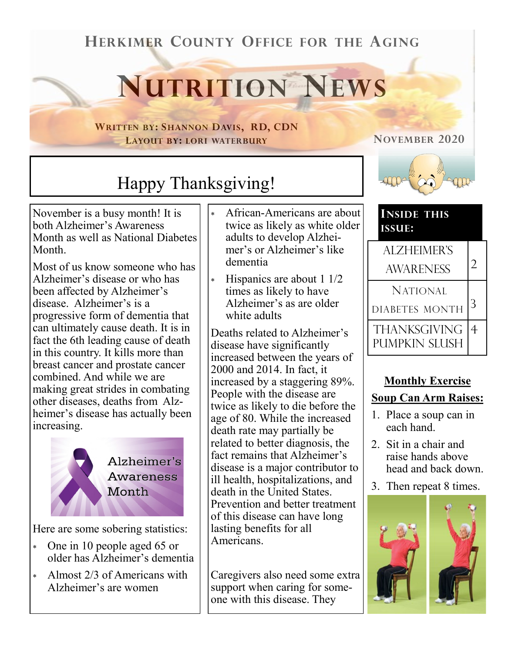## **HERKIMER COUNTY OFFICE FOR THE AGING**

# **NUTRITION NEWS**

**WRITTEN BY: SHANNON DAVIS, RD, CDN LAYOUT BY: LORI WATERBURY**

#### **NOVEMBER 2020**



November is a busy month! It is both Alzheimer's Awareness Month as well as National Diabetes Month.

Most of us know someone who has Alzheimer's disease or who has been affected by Alzheimer's disease. Alzheimer's is a progressive form of dementia that can ultimately cause death. It is in fact the 6th leading cause of death in this country. It kills more than breast cancer and prostate cancer combined. And while we are making great strides in combating other diseases, deaths from Alzheimer's disease has actually been increasing.



Here are some sobering statistics:

- One in 10 people aged 65 or older has Alzheimer's dementia
- Almost 2/3 of Americans with Alzheimer's are women
- African-Americans are about twice as likely as white older adults to develop Alzheimer's or Alzheimer's like dementia
- Hispanics are about 1 1/2 times as likely to have Alzheimer's as are older white adults

Deaths related to Alzheimer's disease have significantly increased between the years of 2000 and 2014. In fact, it increased by a staggering 89%. People with the disease are twice as likely to die before the age of 80. While the increased death rate may partially be related to better diagnosis, the fact remains that Alzheimer's disease is a major contributor to ill health, hospitalizations, and death in the United States. Prevention and better treatment of this disease can have long lasting benefits for all Americans.

Caregivers also need some extra support when caring for someone with this disease. They



#### **INSIDE THIS ISSUE:**

| <b>ALZHEIMER'S</b><br><b>AWARENESS</b> |   |
|----------------------------------------|---|
| <b>NATIONAL</b><br>DIABETES MONTH      | 3 |
| THANKSGIVING<br>PUMPKIN SLUSH          |   |

### **Monthly Exercise Soup Can Arm Raises:**

- 1. Place a soup can in each hand.
- 2. Sit in a chair and raise hands above head and back down.
- 3. Then repeat 8 times.

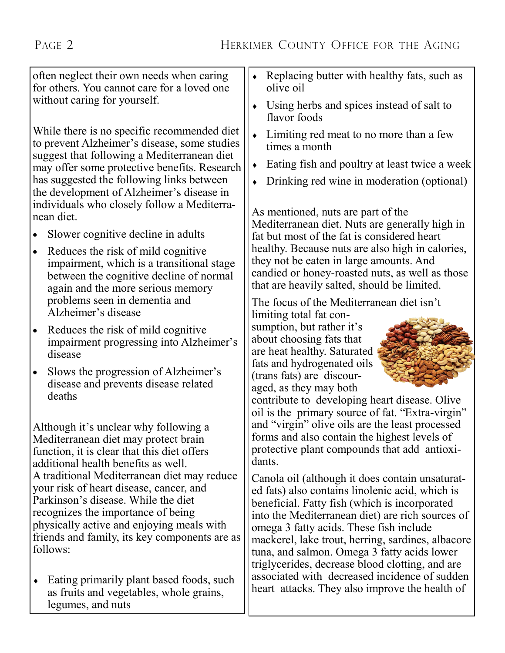often neglect their own needs when caring for others. You cannot care for a loved one without caring for yourself.

While there is no specific recommended diet to prevent Alzheimer's disease, some studies suggest that following a Mediterranean diet may offer some protective benefits. Research has suggested the following links between the development of Alzheimer's disease in individuals who closely follow a Mediterranean diet.

- Slower cognitive decline in adults
- Reduces the risk of mild cognitive impairment, which is a transitional stage between the cognitive decline of normal again and the more serious memory problems seen in dementia and Alzheimer's disease
- Reduces the risk of mild cognitive impairment progressing into Alzheimer's disease
- Slows the progression of Alzheimer's disease and prevents disease related deaths

Although it's unclear why following a Mediterranean diet may protect brain function, it is clear that this diet offers additional health benefits as well. A traditional Mediterranean diet may reduce your risk of heart disease, cancer, and Parkinson's disease. While the diet recognizes the importance of being physically active and enjoying meals with friends and family, its key components are as follows:

• Eating primarily plant based foods, such as fruits and vegetables, whole grains, legumes, and nuts

- Replacing butter with healthy fats, such as olive oil
- Using herbs and spices instead of salt to flavor foods
- Limiting red meat to no more than a few times a month
- Eating fish and poultry at least twice a week
- Drinking red wine in moderation (optional)

As mentioned, nuts are part of the Mediterranean diet. Nuts are generally high in fat but most of the fat is considered heart healthy. Because nuts are also high in calories, they not be eaten in large amounts. And candied or honey-roasted nuts, as well as those that are heavily salted, should be limited.

The focus of the Mediterranean diet isn't

limiting total fat consumption, but rather it's about choosing fats that are heat healthy. Saturated fats and hydrogenated oils (trans fats) are discouraged, as they may both



contribute to developing heart disease. Olive oil is the primary source of fat. "Extra-virgin" and "virgin" olive oils are the least processed forms and also contain the highest levels of protective plant compounds that add antioxidants.

Canola oil (although it does contain unsaturated fats) also contains linolenic acid, which is beneficial. Fatty fish (which is incorporated into the Mediterranean diet) are rich sources of omega 3 fatty acids. These fish include mackerel, lake trout, herring, sardines, albacore tuna, and salmon. Omega 3 fatty acids lower triglycerides, decrease blood clotting, and are associated with decreased incidence of sudden heart attacks. They also improve the health of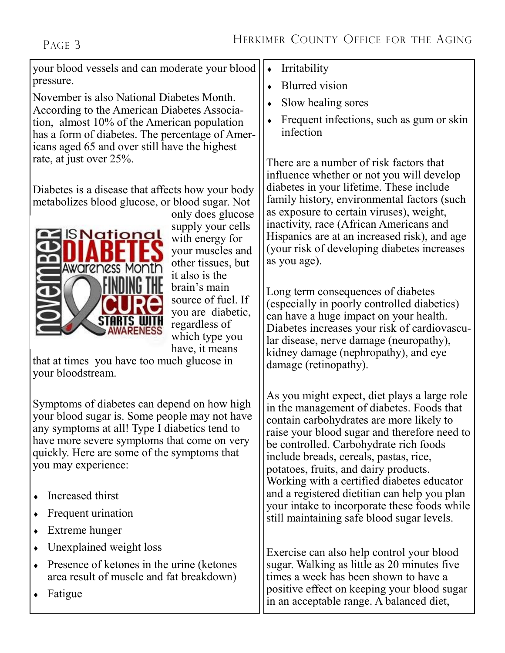your blood vessels and can moderate your blood pressure.

November is also National Diabetes Month. According to the American Diabetes Association, almost 10% of the American population has a form of diabetes. The percentage of Americans aged 65 and over still have the highest rate, at just over 25%.

Diabetes is a disease that affects how your body metabolizes blood glucose, or blood sugar. Not



only does glucose supply your cells with energy for your muscles and other tissues, but it also is the brain's main source of fuel. If you are diabetic, regardless of which type you have, it means

that at times you have too much glucose in your bloodstream.

Symptoms of diabetes can depend on how high your blood sugar is. Some people may not have any symptoms at all! Type I diabetics tend to have more severe symptoms that come on very quickly. Here are some of the symptoms that you may experience:

- Increased thirst
- Frequent urination
- Extreme hunger
- Unexplained weight loss
- Presence of ketones in the urine (ketones area result of muscle and fat breakdown)
- Fatigue
- Irritability
- Blurred vision
- Slow healing sores
- Frequent infections, such as gum or skin infection

There are a number of risk factors that influence whether or not you will develop diabetes in your lifetime. These include family history, environmental factors (such as exposure to certain viruses), weight, inactivity, race (African Americans and Hispanics are at an increased risk), and age (your risk of developing diabetes increases as you age).

Long term consequences of diabetes (especially in poorly controlled diabetics) can have a huge impact on your health. Diabetes increases your risk of cardiovascular disease, nerve damage (neuropathy), kidney damage (nephropathy), and eye damage (retinopathy).

As you might expect, diet plays a large role in the management of diabetes. Foods that contain carbohydrates are more likely to raise your blood sugar and therefore need to be controlled. Carbohydrate rich foods include breads, cereals, pastas, rice, potatoes, fruits, and dairy products. Working with a certified diabetes educator and a registered dietitian can help you plan your intake to incorporate these foods while still maintaining safe blood sugar levels.

Exercise can also help control your blood sugar. Walking as little as 20 minutes five times a week has been shown to have a positive effect on keeping your blood sugar in an acceptable range. A balanced diet,